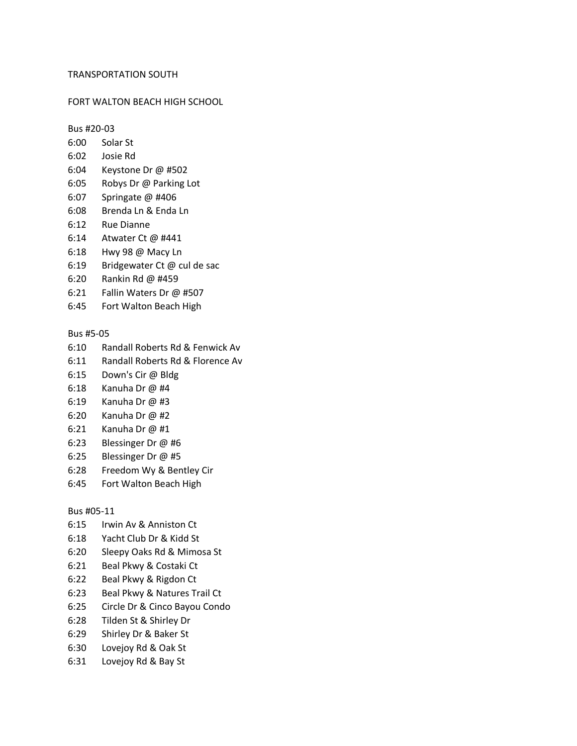## TRANSPORTATION SOUTH

### FORT WALTON BEACH HIGH SCHOOL

Bus #20-03

- 6:00 Solar St
- 6:02 Josie Rd
- 6:04 Keystone Dr @ #502
- 6:05 Robys Dr @ Parking Lot
- 6:07 Springate @ #406
- 6:08 Brenda Ln & Enda Ln
- 6:12 Rue Dianne
- 6:14 Atwater Ct @ #441
- 6:18 Hwy 98 @ Macy Ln
- 6:19 Bridgewater Ct @ cul de sac
- 6:20 Rankin Rd @ #459
- 6:21 Fallin Waters Dr @ #507
- 6:45 Fort Walton Beach High

#### Bus #5-05

- 6:10 Randall Roberts Rd & Fenwick Av
- 6:11 Randall Roberts Rd & Florence Av
- 6:15 Down's Cir @ Bldg
- 6:18 Kanuha Dr @ #4
- 6:19 Kanuha Dr @ #3
- 6:20 Kanuha Dr @ #2
- 6:21 Kanuha Dr @ #1
- 6:23 Blessinger Dr @ #6
- 6:25 Blessinger Dr @ #5
- 6:28 Freedom Wy & Bentley Cir
- 6:45 Fort Walton Beach High

#### Bus #05-11

- 6:15 Irwin Av & Anniston Ct
- 6:18 Yacht Club Dr & Kidd St
- 6:20 Sleepy Oaks Rd & Mimosa St
- 6:21 Beal Pkwy & Costaki Ct
- 6:22 Beal Pkwy & Rigdon Ct
- 6:23 Beal Pkwy & Natures Trail Ct
- 6:25 Circle Dr & Cinco Bayou Condo
- 6:28 Tilden St & Shirley Dr
- 6:29 Shirley Dr & Baker St
- 6:30 Lovejoy Rd & Oak St
- 6:31 Lovejoy Rd & Bay St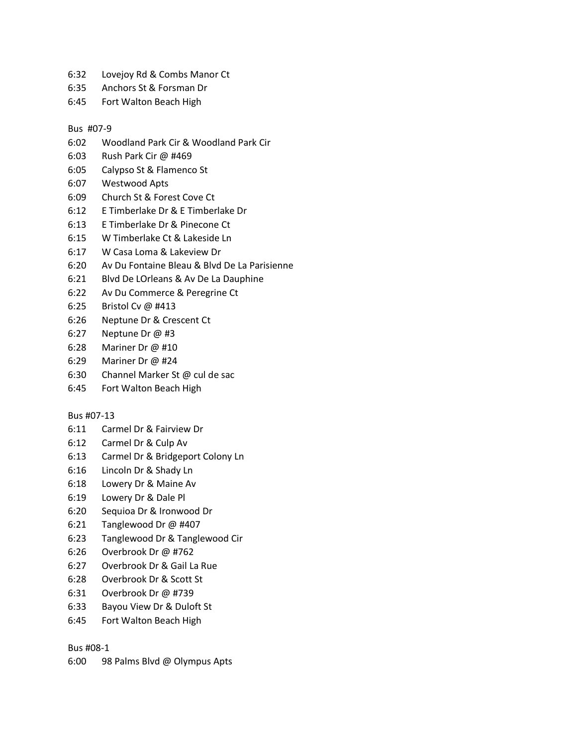- 6:32 Lovejoy Rd & Combs Manor Ct
- 6:35 Anchors St & Forsman Dr
- 6:45 Fort Walton Beach High

# Bus #07-9

- 6:02 Woodland Park Cir & Woodland Park Cir
- 6:03 Rush Park Cir @ #469
- 6:05 Calypso St & Flamenco St
- 6:07 Westwood Apts
- 6:09 Church St & Forest Cove Ct
- 6:12 E Timberlake Dr & E Timberlake Dr
- 6:13 E Timberlake Dr & Pinecone Ct
- 6:15 W Timberlake Ct & Lakeside Ln
- 6:17 W Casa Loma & Lakeview Dr
- 6:20 Av Du Fontaine Bleau & Blvd De La Parisienne
- 6:21 Blvd De LOrleans & Av De La Dauphine
- 6:22 Av Du Commerce & Peregrine Ct
- 6:25 Bristol Cv @ #413
- 6:26 Neptune Dr & Crescent Ct
- 6:27 Neptune Dr @ #3
- 6:28 Mariner Dr @ #10
- 6:29 Mariner Dr @ #24
- 6:30 Channel Marker St @ cul de sac
- 6:45 Fort Walton Beach High

# Bus #07-13

- 6:11 Carmel Dr & Fairview Dr
- 6:12 Carmel Dr & Culp Av
- 6:13 Carmel Dr & Bridgeport Colony Ln
- 6:16 Lincoln Dr & Shady Ln
- 6:18 Lowery Dr & Maine Av
- 6:19 Lowery Dr & Dale Pl
- 6:20 Sequioa Dr & Ironwood Dr
- 6:21 Tanglewood Dr @ #407
- 6:23 Tanglewood Dr & Tanglewood Cir
- 6:26 Overbrook Dr @ #762
- 6:27 Overbrook Dr & Gail La Rue
- 6:28 Overbrook Dr & Scott St
- 6:31 Overbrook Dr @ #739
- 6:33 Bayou View Dr & Duloft St
- 6:45 Fort Walton Beach High

# Bus #08-1

6:00 98 Palms Blvd @ Olympus Apts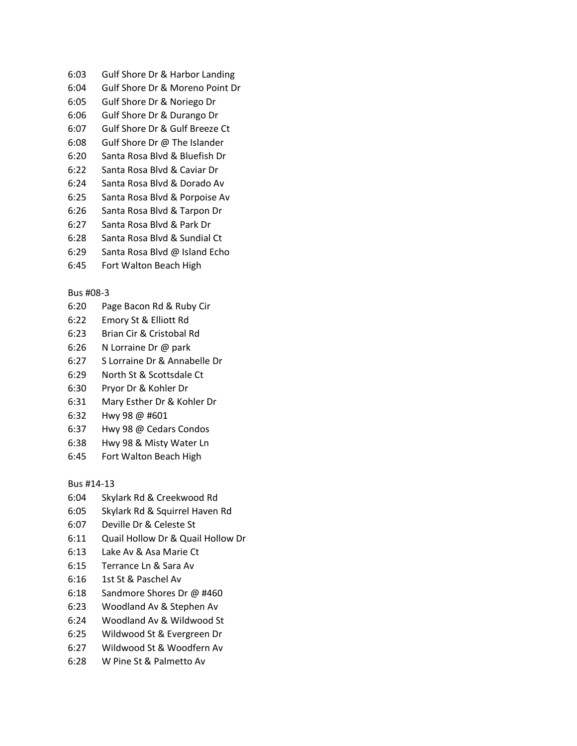- 6:03 Gulf Shore Dr & Harbor Landing
- 6:04 Gulf Shore Dr & Moreno Point Dr
- 6:05 Gulf Shore Dr & Noriego Dr
- 6:06 Gulf Shore Dr & Durango Dr
- 6:07 Gulf Shore Dr & Gulf Breeze Ct
- 6:08 Gulf Shore Dr @ The Islander
- 6:20 Santa Rosa Blvd & Bluefish Dr
- 6:22 Santa Rosa Blvd & Caviar Dr
- 6:24 Santa Rosa Blvd & Dorado Av
- 6:25 Santa Rosa Blvd & Porpoise Av
- 6:26 Santa Rosa Blvd & Tarpon Dr
- 6:27 Santa Rosa Blvd & Park Dr
- 6:28 Santa Rosa Blvd & Sundial Ct
- 6:29 Santa Rosa Blvd @ Island Echo
- 6:45 Fort Walton Beach High

# Bus #08-3

- 6:20 Page Bacon Rd & Ruby Cir
- 6:22 Emory St & Elliott Rd
- 6:23 Brian Cir & Cristobal Rd
- 6:26 N Lorraine Dr @ park
- 6:27 S Lorraine Dr & Annabelle Dr
- 6:29 North St & Scottsdale Ct
- 6:30 Pryor Dr & Kohler Dr
- 6:31 Mary Esther Dr & Kohler Dr
- 6:32 Hwy 98 @ #601
- 6:37 Hwy 98 @ Cedars Condos
- 6:38 Hwy 98 & Misty Water Ln
- 6:45 Fort Walton Beach High

Bus #14-13

- 6:04 Skylark Rd & Creekwood Rd
- 6:05 Skylark Rd & Squirrel Haven Rd
- 6:07 Deville Dr & Celeste St
- 6:11 Quail Hollow Dr & Quail Hollow Dr
- 6:13 Lake Av & Asa Marie Ct
- 6:15 Terrance Ln & Sara Av
- 6:16 1st St & Paschel Av
- 6:18 Sandmore Shores Dr @ #460
- 6:23 Woodland Av & Stephen Av
- 6:24 Woodland Av & Wildwood St
- 6:25 Wildwood St & Evergreen Dr
- 6:27 Wildwood St & Woodfern Av
- 6:28 W Pine St & Palmetto Av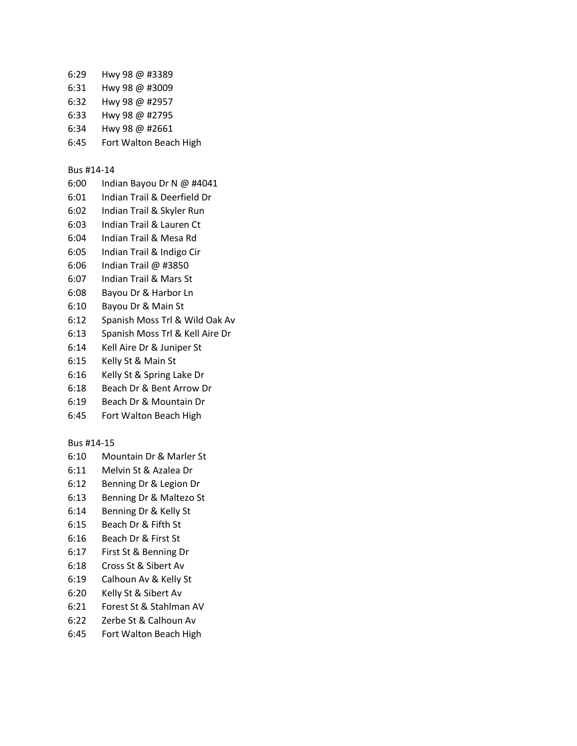- 6:29 Hwy 98 @ #3389
- 6:31 Hwy 98 @ #3009
- 6:32 Hwy 98 @ #2957
- 6:33 Hwy 98 @ #2795
- 6:34 Hwy 98 @ #2661
- 6:45 Fort Walton Beach High

# Bus #14-14

- 6:00 Indian Bayou Dr N @ #4041
- 6:01 Indian Trail & Deerfield Dr
- 6:02 Indian Trail & Skyler Run
- 6:03 Indian Trail & Lauren Ct
- 6:04 Indian Trail & Mesa Rd
- 6:05 Indian Trail & Indigo Cir
- 6:06 Indian Trail @ #3850
- 6:07 Indian Trail & Mars St
- 6:08 Bayou Dr & Harbor Ln
- 6:10 Bayou Dr & Main St
- 6:12 Spanish Moss Trl & Wild Oak Av
- 6:13 Spanish Moss Trl & Kell Aire Dr
- 6:14 Kell Aire Dr & Juniper St
- 6:15 Kelly St & Main St
- 6:16 Kelly St & Spring Lake Dr
- 6:18 Beach Dr & Bent Arrow Dr
- 6:19 Beach Dr & Mountain Dr
- 6:45 Fort Walton Beach High

# Bus #14-15

- 6:10 Mountain Dr & Marler St
- 6:11 Melvin St & Azalea Dr
- 6:12 Benning Dr & Legion Dr
- 6:13 Benning Dr & Maltezo St
- 6:14 Benning Dr & Kelly St
- 6:15 Beach Dr & Fifth St
- 6:16 Beach Dr & First St
- 6:17 First St & Benning Dr
- 6:18 Cross St & Sibert Av
- 6:19 Calhoun Av & Kelly St
- 6:20 Kelly St & Sibert Av
- 6:21 Forest St & Stahlman AV
- 6:22 Zerbe St & Calhoun Av
- 6:45 Fort Walton Beach High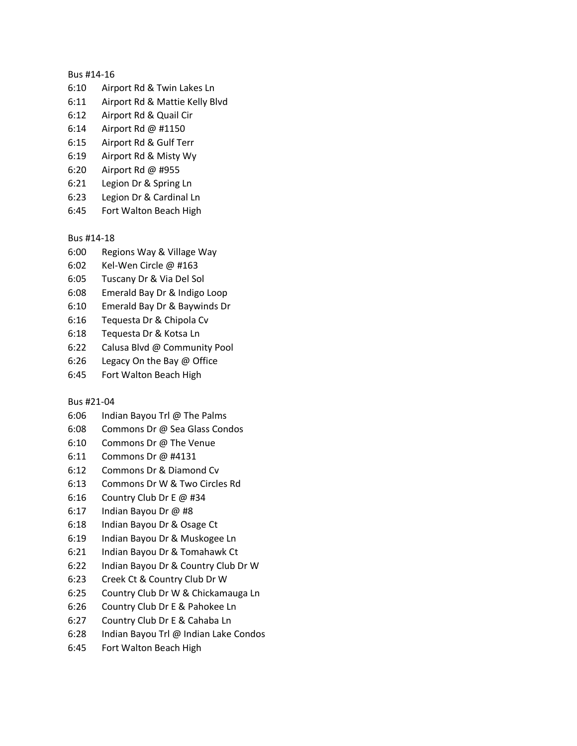### Bus #14-16

- 6:10 Airport Rd & Twin Lakes Ln
- 6:11 Airport Rd & Mattie Kelly Blvd
- 6:12 Airport Rd & Quail Cir
- 6:14 Airport Rd @ #1150
- 6:15 Airport Rd & Gulf Terr
- 6:19 Airport Rd & Misty Wy
- 6:20 Airport Rd @ #955
- 6:21 Legion Dr & Spring Ln
- 6:23 Legion Dr & Cardinal Ln
- 6:45 Fort Walton Beach High

Bus #14-18

- 6:00 Regions Way & Village Way
- 6:02 Kel-Wen Circle @ #163
- 6:05 Tuscany Dr & Via Del Sol
- 6:08 Emerald Bay Dr & Indigo Loop
- 6:10 Emerald Bay Dr & Baywinds Dr
- 6:16 Tequesta Dr & Chipola Cv
- 6:18 Tequesta Dr & Kotsa Ln
- 6:22 Calusa Blvd @ Community Pool
- 6:26 Legacy On the Bay @ Office
- 6:45 Fort Walton Beach High

Bus #21-04

- 6:06 Indian Bayou Trl @ The Palms
- 6:08 Commons Dr @ Sea Glass Condos
- 6:10 Commons Dr @ The Venue
- 6:11 Commons Dr @ #4131
- 6:12 Commons Dr & Diamond Cv
- 6:13 Commons Dr W & Two Circles Rd
- 6:16 Country Club Dr E @ #34
- 6:17 Indian Bayou Dr @ #8
- 6:18 Indian Bayou Dr & Osage Ct
- 6:19 Indian Bayou Dr & Muskogee Ln
- 6:21 Indian Bayou Dr & Tomahawk Ct
- 6:22 Indian Bayou Dr & Country Club Dr W
- 6:23 Creek Ct & Country Club Dr W
- 6:25 Country Club Dr W & Chickamauga Ln
- 6:26 Country Club Dr E & Pahokee Ln
- 6:27 Country Club Dr E & Cahaba Ln
- 6:28 Indian Bayou Trl @ Indian Lake Condos
- 6:45 Fort Walton Beach High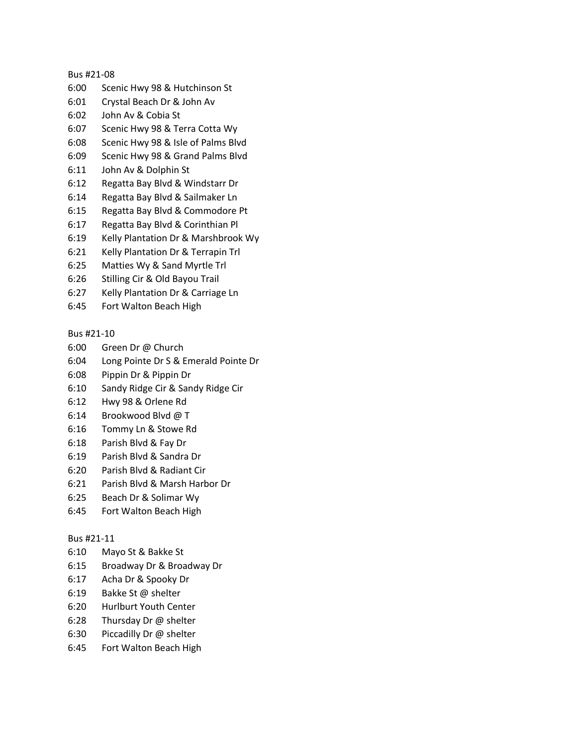## Bus #21-08

- 6:00 Scenic Hwy 98 & Hutchinson St
- 6:01 Crystal Beach Dr & John Av
- 6:02 John Av & Cobia St
- 6:07 Scenic Hwy 98 & Terra Cotta Wy
- 6:08 Scenic Hwy 98 & Isle of Palms Blvd
- 6:09 Scenic Hwy 98 & Grand Palms Blvd
- 6:11 John Av & Dolphin St
- 6:12 Regatta Bay Blvd & Windstarr Dr
- 6:14 Regatta Bay Blvd & Sailmaker Ln
- 6:15 Regatta Bay Blvd & Commodore Pt
- 6:17 Regatta Bay Blvd & Corinthian Pl
- 6:19 Kelly Plantation Dr & Marshbrook Wy
- 6:21 Kelly Plantation Dr & Terrapin Trl
- 6:25 Matties Wy & Sand Myrtle Trl
- 6:26 Stilling Cir & Old Bayou Trail
- 6:27 Kelly Plantation Dr & Carriage Ln
- 6:45 Fort Walton Beach High

# Bus #21-10

- 6:00 Green Dr @ Church
- 6:04 Long Pointe Dr S & Emerald Pointe Dr
- 6:08 Pippin Dr & Pippin Dr
- 6:10 Sandy Ridge Cir & Sandy Ridge Cir
- 6:12 Hwy 98 & Orlene Rd
- 6:14 Brookwood Blvd @ T
- 6:16 Tommy Ln & Stowe Rd
- 6:18 Parish Blvd & Fay Dr
- 6:19 Parish Blvd & Sandra Dr
- 6:20 Parish Blvd & Radiant Cir
- 6:21 Parish Blvd & Marsh Harbor Dr
- 6:25 Beach Dr & Solimar Wy
- 6:45 Fort Walton Beach High

# Bus #21-11

- 6:10 Mayo St & Bakke St
- 6:15 Broadway Dr & Broadway Dr
- 6:17 Acha Dr & Spooky Dr
- 6:19 Bakke St @ shelter
- 6:20 Hurlburt Youth Center
- 6:28 Thursday Dr @ shelter
- 6:30 Piccadilly Dr @ shelter
- 6:45 Fort Walton Beach High